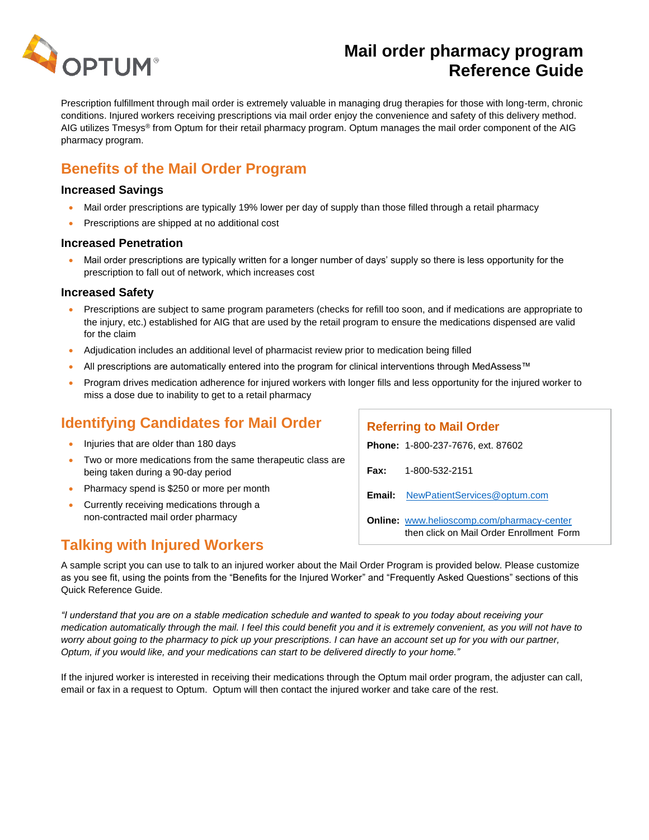

# **Mail order pharmacy program Reference Guide**

Prescription fulfillment through mail order is extremely valuable in managing drug therapies for those with long-term, chronic conditions. Injured workers receiving prescriptions via mail order enjoy the convenience and safety of this delivery method. AIG utilizes Tmesys<sup>®</sup> from Optum for their retail pharmacy program. Optum manages the mail order component of the AIG pharmacy program.

### **Benefits of the Mail Order Program**

#### **Increased Savings**

- Mail order prescriptions are typically 19% lower per day of supply than those filled through a retail pharmacy
- Prescriptions are shipped at no additional cost

#### **Increased Penetration**

 Mail order prescriptions are typically written for a longer number of days' supply so there is less opportunity for the prescription to fall out of network, which increases cost

#### **Increased Safety**

- Prescriptions are subject to same program parameters (checks for refill too soon, and if medications are appropriate to the injury, etc.) established for AIG that are used by the retail program to ensure the medications dispensed are valid for the claim
- Adjudication includes an additional level of pharmacist review prior to medication being filled
- All prescriptions are automatically entered into the program for clinical interventions through MedAssess™
- Program drives medication adherence for injured workers with longer fills and less opportunity for the injured worker to miss a dose due to inability to get to a retail pharmacy

### **Identifying Candidates for Mail Order**

- Injuries that are older than 180 days
- Two or more medications from the same therapeutic class are being taken during a 90-day period
- Pharmacy spend is \$250 or more per month
- Currently receiving medications through a non-contracted mail order pharmacy

### **Talking with Injured Workers**

**Referring to Mail Order Phone:** 1-800-237-7676, ext. 87602 **Fax:** 1-800-532-2151 **Email:** [NewPatientServices@optum.com](mailto:NewPatientServices@optum.com) **Online:** [www.helioscomp.com/pharmacy-center](http://www.helioscomp.com/pharmacy-center)  then click on Mail Order Enrollment Form

A sample script you can use to talk to an injured worker about the Mail Order Program is provided below. Please customize as you see fit, using the points from the "Benefits for the Injured Worker" and "Frequently Asked Questions" sections of this Quick Reference Guide.

*"I understand that you are on a stable medication schedule and wanted to speak to you today about receiving your medication automatically through the mail. I feel this could benefit you and it is extremely convenient, as you will not have to*  worry about going to the pharmacy to pick up your prescriptions. I can have an account set up for you with our partner, *Optum, if you would like, and your medications can start to be delivered directly to your home."* 

If the injured worker is interested in receiving their medications through the Optum mail order program, the adjuster can call, email or fax in a request to Optum. Optum will then contact the injured worker and take care of the rest.